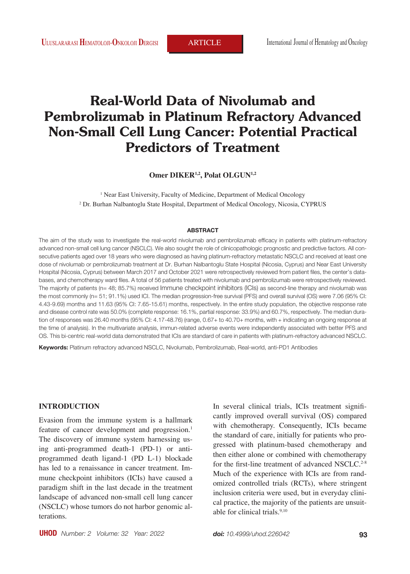# **Real-World Data of Nivolumab and Pembrolizumab in Platinum Refractory Advanced Non-Small Cell Lung Cancer: Potential Practical Predictors of Treatment**

Omer DIKER<sup>1,2</sup>, Polat OLGUN<sup>1,2</sup>

<sup>1</sup> Near East University, Faculty of Medicine, Department of Medical Oncology 2 Dr. Burhan Nalbantoglu State Hospital, Department of Medical Oncology, Nicosia, CYPRUS

#### **ABSTRACT**

The aim of the study was to investigate the real-world nivolumab and pembrolizumab efficacy in patients with platinum-refractory advanced non-small cell lung cancer (NSCLC). We also sought the role of clinicopathologic prognostic and predictive factors. All consecutive patients aged over 18 years who were diagnosed as having platinum-refractory metastatic NSCLC and received at least one dose of nivolumab or pembrolizumab treatment at Dr. Burhan Nalbantoglu State Hospital (Nicosia, Cyprus) and Near East University Hospital (Nicosia, Cyprus) between March 2017 and October 2021 were retrospectively reviewed from patient files, the center's databases, and chemotherapy ward files. A total of 56 patients treated with nivolumab and pembrolizumab were retrospectively reviewed. The majority of patients (n= 48; 85.7%) received Immune checkpoint inhibitors (ICIs) as second-line therapy and nivolumab was the most commonly (n= 51; 91.1%) used ICI. The median progression-free survival (PFS) and overall survival (OS) were 7.06 (95% CI: 4.43-9.69) months and 11.63 (95% CI: 7.65-15.61) months, respectively. In the entire study population, the objective response rate and disease control rate was 50.0% (complete response: 16.1%, partial response: 33.9%) and 60.7%, respectively. The median duration of responses was 26.40 months (95% CI: 4.17-48.76) (range, 0.67+ to 40.70+ months, with + indicating an ongoing response at the time of analysis). In the multivariate analysis, immun-related adverse events were independently associated with better PFS and OS. This bi-centric real-world data demonstrated that ICIs are standard of care in patients with platinum-refractory advanced NSCLC.

**Keywords:** Platinum refractory advanced NSCLC, Nivolumab, Pembrolizumab, Real-world, anti-PD1 Antibodies

### **INTRODUCTION**

Evasion from the immune system is a hallmark feature of cancer development and progression.<sup>1</sup> The discovery of immune system harnessing using anti-programmed death-1 (PD-1) or antiprogrammed death ligand-1 (PD L-1) blockade has led to a renaissance in cancer treatment. Immune checkpoint inhibitors (ICIs) have caused a paradigm shift in the last decade in the treatment landscape of advanced non-small cell lung cancer (NSCLC) whose tumors do not harbor genomic alterations.

In several clinical trials, ICIs treatment significantly improved overall survival (OS) compared with chemotherapy. Consequently, ICIs became the standard of care, initially for patients who progressed with platinum-based chemotherapy and then either alone or combined with chemotherapy for the first-line treatment of advanced NSCLC.<sup>2-8</sup> Much of the experience with ICIs are from randomized controlled trials (RCTs), where stringent inclusion criteria were used, but in everyday clinical practice, the majority of the patients are unsuitable for clinical trials.<sup>9,10</sup>

**UHOD** *Number: 2 Volume: 32 Year: 2022* **93**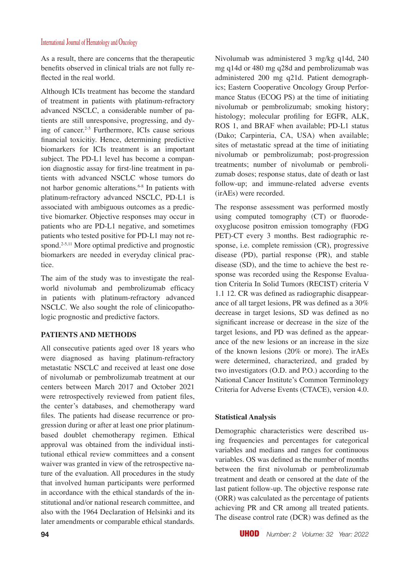As a result, there are concerns that the therapeutic benefits observed in clinical trials are not fully reflected in the real world.

Although ICIs treatment has become the standard of treatment in patients with platinum-refractory advanced NSCLC, a considerable number of patients are still unresponsive, progressing, and dying of cancer.2-5 Furthermore, ICIs cause serious financial toxicitiy. Hence, determining predictive biomarkers for ICIs treatment is an important subject. The PD-L1 level has become a companion diagnostic assay for first-line treatment in patients with advanced NSCLC whose tumors do not harbor genomic alterations.6-8 In patients with platinum-refractory advanced NSCLC, PD-L1 is associated with ambiguous outcomes as a predictive biomarker. Objective responses may occur in patients who are PD-L1 negative, and sometimes patients who tested positive for PD-L1 may not respond.<sup>2-5,11</sup> More optimal predictive and prognostic biomarkers are needed in everyday clinical practice.

The aim of the study was to investigate the realworld nivolumab and pembrolizumab efficacy in patients with platinum-refractory advanced NSCLC. We also sought the role of clinicopathologic prognostic and predictive factors.

## **PATIENTS AND METHODS**

All consecutive patients aged over 18 years who were diagnosed as having platinum-refractory metastatic NSCLC and received at least one dose of nivolumab or pembrolizumab treatment at our centers between March 2017 and October 2021 were retrospectively reviewed from patient files, the center's databases, and chemotherapy ward files. The patients had disease recurrence or progression during or after at least one prior platinumbased doublet chemotherapy regimen. Ethical approval was obtained from the individual institutional ethical review committees and a consent waiver was granted in view of the retrospective nature of the evaluation. All procedures in the study that involved human participants were performed in accordance with the ethical standards of the institutional and/or national research committee, and also with the 1964 Declaration of Helsinki and its later amendments or comparable ethical standards. Nivolumab was administered 3 mg/kg q14d, 240 mg q14d or 480 mg q28d and pembrolizumab was administered 200 mg q21d. Patient demographics; Eastern Cooperative Oncology Group Performance Status (ECOG PS) at the time of initiating nivolumab or pembrolizumab; smoking history; histology; molecular profiling for EGFR, ALK, ROS 1, and BRAF when available; PD-L1 status (Dako; Carpinteria, CA, USA) when available; sites of metastatic spread at the time of initiating nivolumab or pembrolizumab; post-progression treatments; number of nivolumab or pembrolizumab doses; response status, date of death or last follow-up; and immune-related adverse events (irAEs) were recorded.

The response assessment was performed mostly using computed tomography (CT) or fluorodeoxyglucose positron emission tomography (FDG PET)-CT every 3 months. Best radiographic response, i.e. complete remission (CR), progressive disease (PD), partial response (PR), and stable disease (SD), and the time to achieve the best response was recorded using the Response Evaluation Criteria In Solid Tumors (RECIST) criteria V 1.1 12. CR was defined as radiographic disappearance of all target lesions, PR was defined as a 30% decrease in target lesions, SD was defined as no significant increase or decrease in the size of the target lesions, and PD was defined as the appearance of the new lesions or an increase in the size of the known lesions (20% or more). The irAEs were determined, characterized, and graded by two investigators (O.D. and P.O.) according to the National Cancer Institute's Common Terminology Criteria for Adverse Events (CTACE), version 4.0.

### **Statistical Analysis**

Demographic characteristics were described using frequencies and percentages for categorical variables and medians and ranges for continuous variables. OS was defined as the number of months between the first nivolumab or pembrolizumab treatment and death or censored at the date of the last patient follow-up. The objective response rate (ORR) was calculated as the percentage of patients achieving PR and CR among all treated patients. The disease control rate (DCR) was defined as the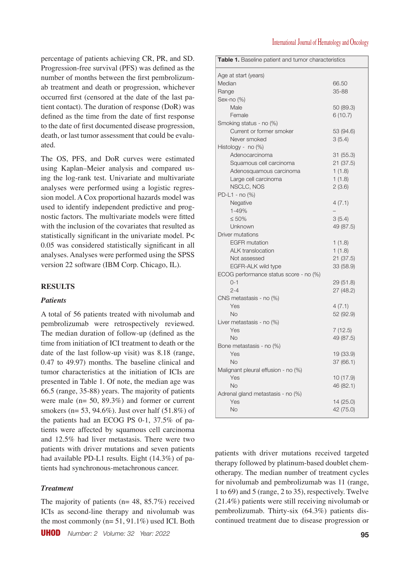percentage of patients achieving CR, PR, and SD. Progression-free survival (PFS) was defined as the number of months between the first pembrolizumab treatment and death or progression, whichever occurred first (censored at the date of the last patient contact). The duration of response (DoR) was defined as the time from the date of first response to the date of first documented disease progression, death, or last tumor assessment that could be evaluated.

The OS, PFS, and DoR curves were estimated using Kaplan–Meier analysis and compared using the log-rank test. Univariate and multivariate analyses were performed using a logistic regression model. A Cox proportional hazards model was used to identify independent predictive and prognostic factors. The multivariate models were fitted with the inclusion of the covariates that resulted as statistically significant in the univariate model. P< 0.05 was considered statistically significant in all analyses. Analyses were performed using the SPSS version 22 software (IBM Corp. Chicago, IL).

### **RESULTS**

### *Patients*

A total of 56 patients treated with nivolumab and pembrolizumab were retrospectively reviewed. The median duration of follow-up (defined as the time from initiation of ICI treatment to death or the date of the last follow-up visit) was 8.18 (range, 0.47 to 49.97) months. The baseline clinical and tumor characteristics at the initiation of ICIs are presented in Table 1. Of note, the median age was 66.5 (range, 35-88) years. The majority of patients were male (n= 50, 89.3%) and former or current smokers (n= 53, 94.6%). Just over half (51.8%) of the patients had an ECOG PS 0-1, 37.5% of patients were affected by squamous cell carcinoma and 12.5% had liver metastasis. There were two patients with driver mutations and seven patients had available PD-L1 results. Eight (14.3%) of patients had synchronous-metachronous cancer.

### *Treatment*

The majority of patients ( $n= 48, 85.7\%$ ) received ICIs as second-line therapy and nivolumab was the most commonly (n= 51, 91.1%) used ICI. Both

| Table 1. Baseline patient and tumor characteristics |           |  |  |
|-----------------------------------------------------|-----------|--|--|
| Age at start (years)                                |           |  |  |
| Median                                              | 66.50     |  |  |
| Range                                               | 35-88     |  |  |
| Sex-no $(\%)$                                       |           |  |  |
| Male                                                | 50 (89.3) |  |  |
| Female                                              | 6(10.7)   |  |  |
| Smoking status - no (%)                             |           |  |  |
| Current or former smoker                            | 53 (94.6) |  |  |
| Never smoked                                        | 3(5.4)    |  |  |
| Histology - no (%)                                  |           |  |  |
| Adenocarcinoma                                      | 31(55.3)  |  |  |
| Squamous cell carcinoma                             | 21 (37.5) |  |  |
| Adenosquamous carcinoma                             | 1(1.8)    |  |  |
| Large cell carcinoma                                | 1(1.8)    |  |  |
| NSCLC, NOS                                          | 2(3.6)    |  |  |
| PD-L1 - no (%)                                      |           |  |  |
| Negative                                            | 4(7.1)    |  |  |
| 1-49%                                               |           |  |  |
| $\leq 50\%$                                         | 3(5.4)    |  |  |
| Unknown                                             | 49 (87.5) |  |  |
| Driver mutations                                    |           |  |  |
| <b>EGFR</b> mutation                                | 1(1.8)    |  |  |
| <b>ALK</b> translocation                            | 1(1.8)    |  |  |
| Not assessed                                        | 21 (37.5) |  |  |
| EGFR-ALK wild type                                  | 33 (58.9) |  |  |
| ECOG performance status score - no (%)              |           |  |  |
| $0 - 1$                                             | 29 (51.8) |  |  |
| $2 - 4$                                             | 27 (48.2) |  |  |
| CNS metastasis - no (%)                             |           |  |  |
| Yes                                                 | 4(7.1)    |  |  |
| <b>No</b>                                           | 52 (92.9) |  |  |
| Liver metastasis - no (%)                           |           |  |  |
| Yes                                                 | 7(12.5)   |  |  |
| No                                                  | 49 (87.5) |  |  |
| Bone metastasis - no (%)                            |           |  |  |
| Yes                                                 | 19 (33.9) |  |  |
| <b>No</b>                                           | 37 (66.1) |  |  |
| Malignant pleural effusion - no (%)                 |           |  |  |
| Yes                                                 | 10 (17.9) |  |  |
| <b>No</b>                                           | 46 (82.1) |  |  |
| Adrenal gland metastasis - no (%)                   |           |  |  |
| Yes                                                 | 14 (25.0) |  |  |
| <b>No</b>                                           | 42 (75.0) |  |  |
|                                                     |           |  |  |

patients with driver mutations received targeted therapy followed by platinum-based doublet chemotherapy. The median number of treatment cycles for nivolumab and pembrolizumab was 11 (range, 1 to 69) and 5 (range, 2 to 35), respectively. Twelve (21.4%) patients were still receiving nivolumab or pembrolizumab. Thirty-six (64.3%) patients discontinued treatment due to disease progression or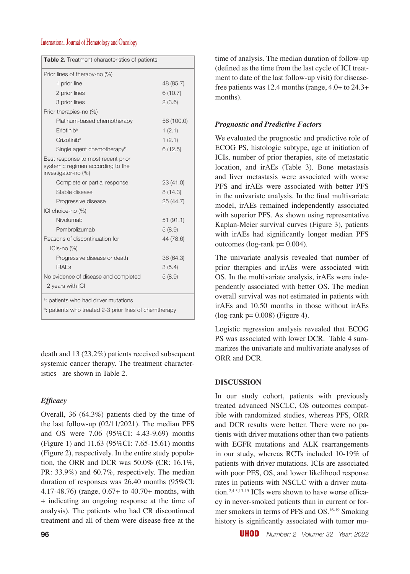| <b>Table 2.</b> Treatment characteristics of patients                                          |            |  |  |  |
|------------------------------------------------------------------------------------------------|------------|--|--|--|
| Prior lines of therapy-no (%)                                                                  |            |  |  |  |
| 1 prior line                                                                                   | 48 (85.7)  |  |  |  |
| 2 prior lines                                                                                  | 6(10.7)    |  |  |  |
| 3 prior lines                                                                                  | 2(3.6)     |  |  |  |
| Prior therapies-no (%)                                                                         |            |  |  |  |
| Platinum-based chemotherapy                                                                    | 56 (100.0) |  |  |  |
| Frlotinib <sup>a</sup>                                                                         | 1(2.1)     |  |  |  |
| Crizotinib <sup>a</sup>                                                                        | 1(2.1)     |  |  |  |
| Single agent chemotherapy <sup>b</sup>                                                         | 6(12.5)    |  |  |  |
| Best response to most recent prior<br>systemic regimen according to the<br>investigator-no (%) |            |  |  |  |
| Complete or partial response                                                                   | 23(41.0)   |  |  |  |
| Stable disease                                                                                 | 8(14.3)    |  |  |  |
| Progressive disease                                                                            | 25 (44.7)  |  |  |  |
| ICI choice-no (%)                                                                              |            |  |  |  |
| Nivolumab                                                                                      | 51(91.1)   |  |  |  |
| Pembrolizumab                                                                                  | 5(8.9)     |  |  |  |
| Reasons of discontinuation for                                                                 | 44 (78.6)  |  |  |  |
| $ICIs-no (%)$                                                                                  |            |  |  |  |
| Progressive disease or death                                                                   | 36 (64.3)  |  |  |  |
| <b>IRAEs</b>                                                                                   | 3(5.4)     |  |  |  |
| No evidence of disease and completed<br>5(8.9)                                                 |            |  |  |  |
| 2 years with ICI                                                                               |            |  |  |  |
| <sup>a</sup> : patients who had driver mutations                                               |            |  |  |  |
| <sup>b</sup> : patients who treated 2-3 prior lines of chemtherapy                             |            |  |  |  |

death and 13 (23.2%) patients received subsequent systemic cancer therapy. The treatment characteristics are shown in Table 2.

# *Efficacy*

Overall, 36 (64.3%) patients died by the time of the last follow-up (02/11/2021). The median PFS and OS were 7.06 (95%CI: 4.43-9.69) months (Figure 1) and 11.63 (95%CI: 7.65-15.61) months (Figure 2), respectively. In the entire study population, the ORR and DCR was 50.0% (CR: 16.1%, PR: 33.9%) and 60.7%, respectively. The median duration of responses was 26.40 months (95%CI: 4.17-48.76) (range, 0.67+ to 40.70+ months, with + indicating an ongoing response at the time of analysis). The patients who had CR discontinued treatment and all of them were disease-free at the

time of analysis. The median duration of follow-up (defined as the time from the last cycle of ICI treatment to date of the last follow-up visit) for diseasefree patients was 12.4 months (range, 4.0+ to 24.3+ months).

# *Prognostic and Predictive Factors*

We evaluated the prognostic and predictive role of ECOG PS, histologic subtype, age at initiation of ICIs, number of prior therapies, site of metastatic location, and irAEs (Table 3). Bone metastasis and liver metastasis were associated with worse PFS and irAEs were associated with better PFS in the univariate analysis. In the final multivariate model, irAEs remained independently associated with superior PFS. As shown using representative Kaplan-Meier survival curves (Figure 3), patients with irAEs had significantly longer median PFS outcomes (log-rank  $p = 0.004$ ).

The univariate analysis revealed that number of prior therapies and irAEs were associated with OS. In the multivariate analysis, irAEs were independently associated with better OS. The median overall survival was not estimated in patients with irAEs and 10.50 months in those without irAEs  $(log-rank p = 0.008)$  (Figure 4).

Logistic regression analysis revealed that ECOG PS was associated with lower DCR. Table 4 summarizes the univariate and multivariate analyses of ORR and DCR.

# **DISCUSSION**

In our study cohort, patients with previously treated advanced NSCLC, OS outcomes compatible with randomized studies, whereas PFS, ORR and DCR results were better. There were no patients with driver mutations other than two patients with EGFR mutations and ALK rearrangements in our study, whereas RCTs included 10-19% of patients with driver mutations. ICIs are associated with poor PFS, OS, and lower likelihood response rates in patients with NSCLC with a driver mutation.<sup>2,4,5,13-15</sup> ICIs were shown to have worse efficacy in never-smoked patients than in current or former smokers in terms of PFS and OS.16-19 Smoking history is significantly associated with tumor mu-

**96** UHOD *Number: 2 Volume: 32 Year: 2022*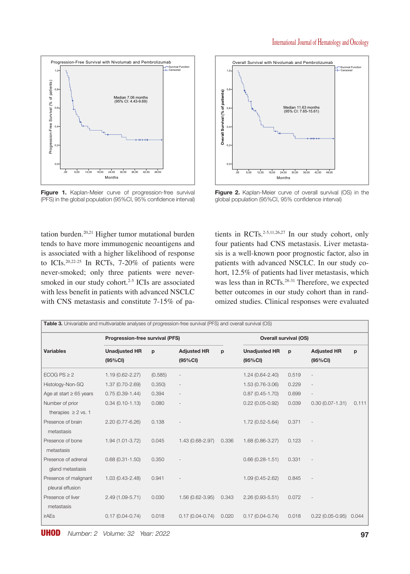

Figure 1. Kaplan-Meier curve of progression-free survival (PFS) in the global population (95%CI, 95% confidence interval)

tation burden.20,21 Higher tumor mutational burden tends to have more immunogenic neoantigens and is associated with a higher likelihood of response to ICIs.20,22-25 In RCTs, 7-20% of patients were never-smoked; only three patients were neversmoked in our study cohort.<sup>2-5</sup> ICIs are associated with less benefit in patients with advanced NSCLC with CNS metastasis and constitute 7-15% of pa-



**Figure 2.** Kaplan-Meier curve of overall survival (OS) in the global population (95%CI, 95% confidence interval)

tients in RCTs.<sup>2-5,11,26,27</sup> In our study cohort, only four patients had CNS metastasis. Liver metastasis is a well-known poor prognostic factor, also in patients with advanced NSCLC. In our study cohort, 12.5% of patients had liver metastasis, which was less than in RCTs.<sup>28-31</sup> Therefore, we expected better outcomes in our study cohort than in randomized studies. Clinical responses were evaluated

| Progression-free survival (PFS)             |                                  |         |                                | <b>Overall survival (OS)</b> |                                 |       |                                |       |
|---------------------------------------------|----------------------------------|---------|--------------------------------|------------------------------|---------------------------------|-------|--------------------------------|-------|
| <b>Variables</b>                            | <b>Unadjusted HR</b><br>(95% CI) | p       | <b>Adjusted HR</b><br>(95% CI) | p                            | <b>Unadjusted HR</b><br>(95%CI) | p     | <b>Adjusted HR</b><br>(95% CI) | p     |
| ECOG PS $\geq$ 2                            | $1.19(0.62 - 2.27)$              | (0.585) |                                |                              | $1.24(0.64 - 2.40)$             | 0.519 |                                |       |
| Histology-Non-SQ                            | 1.37 (0.70-2.69)                 | 0.350   |                                |                              | 1.53 (0.76-3.06)                | 0.229 |                                |       |
| Age at start $\geq 65$ years                | $0.75(0.39 - 1.44)$              | 0.394   |                                |                              | $0.87(0.45 - 1.70)$             | 0.699 | $\qquad \qquad -$              |       |
| Number of prior<br>therapies $\geq 2$ vs. 1 | $0.34(0.10-1.13)$                | 0.080   |                                |                              | $0.22(0.05-0.92)$               | 0.039 | $0.30(0.07 - 1.31)$            | 0.111 |
| Presence of brain<br>metastasis             | 2.20 (0.77-6.26)                 | 0.138   |                                |                              | 1.72 (0.52-5.64)                | 0.371 |                                |       |
| Presence of bone<br>metastasis              | 1.94 (1.01-3.72)                 | 0.045   | 1.43 (0.68-2.97)               | 0.336                        | 1.68 (0.86-3.27)                | 0.123 |                                |       |
| Presence of adrenal<br>gland metastasis     | $0.68(0.31 - 1.50)$              | 0.350   |                                |                              | $0.66(0.28 - 1.51)$             | 0.331 |                                |       |
| Presence of malignant<br>pleural effusion   | $1.03(0.43 - 2.48)$              | 0.941   |                                |                              | $1.09(0.45 - 2.62)$             | 0.845 |                                |       |
| Presence of liver<br>metastasis             | 2.49 (1.09-5.71)                 | 0.030   | 1.56 (0.62-3.95)               | 0.343                        | $2.26(0.93 - 5.51)$             | 0.072 |                                |       |
| irAEs                                       | $0.17(0.04 - 0.74)$              | 0.018   | $0.17(0.04 - 0.74)$            | 0.020                        | $0.17(0.04 - 0.74)$             | 0.018 | $0.22(0.05 - 0.95)$            | 0.044 |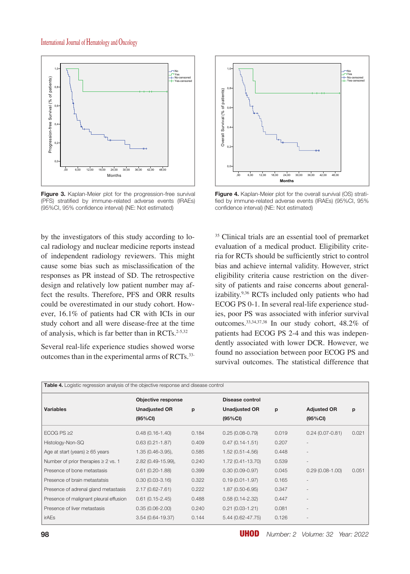

**Figure 3.** Kaplan-Meier plot for the progression-free survival (PFS) stratified by immune-related adverse events (IRAEs) (95%CI, 95% confidence interval) (NE: Not estimated)

by the investigators of this study according to local radiology and nuclear medicine reports instead of independent radiology reviewers. This might cause some bias such as misclassification of the responses as PR instead of SD. The retrospective design and relatively low patient number may affect the results. Therefore, PFS and ORR results could be overestimated in our study cohort. However, 16.1% of patients had CR with ICIs in our study cohort and all were disease-free at the time of analysis, which is far better than in  $\text{RCTs}.^{2-5,32}$ 

Several real-life experience studies showed worse outcomes than in the experimental arms of RCTs.33-



**Figure 4.** Kaplan-Meier plot for the overall survival (OS) stratified by immune-related adverse events (IRAEs) (95%CI, 95% confidence interval) (NE: Not estimated)

35 Clinical trials are an essential tool of premarket evaluation of a medical product. Eligibility criteria for RCTs should be sufficiently strict to control bias and achieve internal validity. However, strict eligibility criteria cause restriction on the diversity of patients and raise concerns about generalizability.9,36 RCTs included only patients who had ECOG PS 0-1. In several real-life experience studies, poor PS was associated with inferior survival outcomes.33,34,37,38 In our study cohort, 48.2% of patients had ECOG PS 2-4 and this was independently associated with lower DCR. However, we found no association between poor ECOG PS and survival outcomes. The statistical difference that

| <b>Table 4.</b> Logistic regression analysis of the objective response and disease control |                           |       |                      |       |                     |       |
|--------------------------------------------------------------------------------------------|---------------------------|-------|----------------------|-------|---------------------|-------|
|                                                                                            | <b>Objective response</b> |       | Disease control      |       |                     |       |
| <b>Variables</b>                                                                           | <b>Unadjusted OR</b>      | р     | <b>Unadjusted OR</b> | p     | <b>Adjusted OR</b>  | p     |
|                                                                                            | (95%CI)                   |       | (95% CI)             |       | (95%CI)             |       |
| ECOG PS $\geq$ 2                                                                           | $0.48(0.16-1.40)$         | 0.184 | $0.25(0.08-0.79)$    | 0.019 | $0.24(0.07 - 0.81)$ | 0.021 |
| Histology-Non-SQ                                                                           | $0.63(0.21 - 1.87)$       | 0.409 | $0.47(0.14 - 1.51)$  | 0.207 |                     |       |
| Age at start (years) $\geq 65$ years                                                       | $1.35(0.46-3.95),$        | 0.585 | $1.52(0.51 - 4.56)$  | 0.448 |                     |       |
| Number of prior therapies $\geq 2$ vs. 1                                                   | 2.82 (0.49-15.99),        | 0.240 | 1.72 (0.41-13.70)    | 0.539 |                     |       |
| Presence of bone metastasis                                                                | $0.61(0.20-1.88)$         | 0.399 | $0.30(0.09 - 0.97)$  | 0.045 | $0.29(0.08-1.00)$   | 0.051 |
| Presence of brain metastatsis                                                              | $0.30(0.03-3.16)$         | 0.322 | $0.19(0.01 - 1.97)$  | 0.165 |                     |       |
| Presence of adrenal gland metastasis                                                       | $2.17(0.62 - 7.61)$       | 0.222 | 1.87 (0.50-6.95)     | 0.347 |                     |       |
| Presence of malignant pleural effusion                                                     | $0.61(0.15-2.45)$         | 0.488 | $0.58(0.14 - 2.32)$  | 0.447 |                     |       |
| Presence of liver metastasis                                                               | $0.35(0.06 - 2.00)$       | 0.240 | $0.21(0.03-1.21)$    | 0.081 |                     |       |
| irAEs                                                                                      | 3.54 (0.64-19.37)         | 0.144 | $5.44(0.62 - 47.75)$ | 0.126 |                     |       |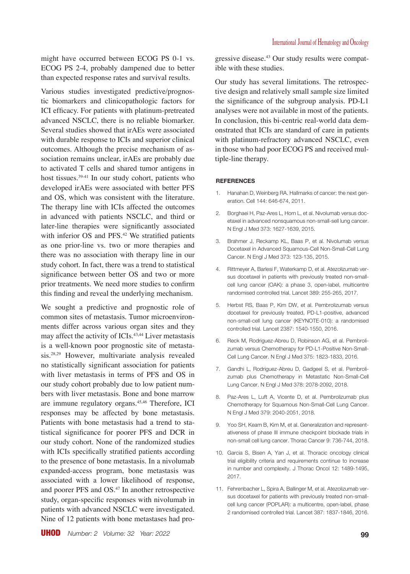might have occurred between ECOG PS 0-1 vs. ECOG PS 2-4, probably dampened due to better than expected response rates and survival results.

Various studies investigated predictive/prognostic biomarkers and clinicopathologic factors for ICI efficacy. For patients with platinum-pretreated advanced NSCLC, there is no reliable biomarker. Several studies showed that irAEs were associated with durable response to ICIs and superior clinical outcomes. Although the precise mechanism of association remains unclear, irAEs are probably due to activated T cells and shared tumor antigens in host tissues.<sup>39-41</sup> In our study cohort, patients who developed irAEs were associated with better PFS and OS, which was consistent with the literature. The therapy line with ICIs affected the outcomes in advanced with patients NSCLC, and third or later-line therapies were significantly associated with inferior OS and PFS.<sup>42</sup> We stratified patients as one prior-line vs. two or more therapies and there was no association with therapy line in our study cohort. In fact, there was a trend to statistical significance between better OS and two or more prior treatments. We need more studies to confirm this finding and reveal the underlying mechanism.

We sought a predictive and prognostic role of common sites of metastasis. Tumor microenvironments differ across various organ sites and they may affect the activity of ICIs.<sup>43,44</sup> Liver metastasis is a well-known poor prognostic site of metastasis.28,29 However, multivariate analysis revealed no statistically significant association for patients with liver metastasis in terms of PFS and OS in our study cohort probably due to low patient numbers with liver metastasis. Bone and bone marrow are immune regulatory organs.45,46 Therefore, ICI responses may be affected by bone metastasis. Patients with bone metastasis had a trend to statistical significance for poorer PFS and DCR in our study cohort. None of the randomized studies with ICIs specifically stratified patients according to the presence of bone metastasis. In a nivolumab expanded-access program, bone metastasis was associated with a lower likelihood of response, and poorer PFS and OS.<sup>47</sup> In another retrospective study, organ-specific responses with nivolumab in patients with advanced NSCLC were investigated. Nine of 12 patients with bone metastases had progressive disease.43 Our study results were compatible with these studies.

Our study has several limitations. The retrospective design and relatively small sample size limited the significance of the subgroup analysis. PD-L1 analyses were not available in most of the patients. In conclusion, this bi-centric real-world data demonstrated that ICIs are standard of care in patients with platinum-refractory advanced NSCLC, even in those who had poor ECOG PS and received multiple-line therapy.

#### **REFERENCES**

- Hanahan D, Weinberg RA. Hallmarks of cancer: the next generation. Cell 144: 646-674, 2011.
- 2. Borghaei H, Paz-Ares L, Horn L, et al. Nivolumab versus docetaxel in advanced nonsquamous non-small-sell lung cancer. N Engl J Med 373: 1627-1639, 2015.
- 3. Brahmer J, Reckamp KL, Baas P, et al. Nivolumab versus Docetaxel in Advanced Squamous-Cell Non-Small-Cell Lung Cancer. N Engl J Med 373: 123-135, 2015.
- 4. Rittmeyer A, Barlesi F, Waterkamp D, et al. Atezolizumab versus docetaxel in patients with previously treated non-smallcell lung cancer (OAK): a phase 3, open-label, multicentre randomised controlled trial. Lancet 389: 255-265, 2017.
- 5. Herbst RS, Baas P, Kim DW, et al. Pembrolizumab versus docetaxel for previously treated, PD-L1-positive, advanced non-small-cell lung cancer (KEYNOTE-010): a randomised controlled trial. Lancet 2387: 1540-1550, 2016.
- 6. Reck M, Rodriguez-Abreu D, Robinson AG, et al. Pembrolizumab versus Chemotherapy for PD-L1-Positive Non-Small-Cell Lung Cancer. N Engl J Med 375: 1823-1833, 2016.
- 7. Gandhi L, Rodriguez-Abreu D, Gadgeel S, et al. Pembrolizumab plus Chemotherapy in Metastatic Non-Small-Cell Lung Cancer. N Engl J Med 378: 2078-2092, 2018.
- 8. Paz-Ares L, Luft A, Vicente D, et al. Pembrolizumab plus Chemotherapy for Squamous Non-Small-Cell Lung Cancer. N Engl J Med 379: 2040-2051, 2018.
- 9. Yoo SH, Keam B, Kim M, et al. Generalization and representativeness of phase III immune checkpoint blockade trials in non-small cell lung cancer. Thorac Cancer 9: 736-744, 2018.
- 10. Garcia S, Bisen A, Yan J, et al. Thoracic oncology clinical trial eligibility criteria and requirements continue to increase in number and complexity. J Thorac Oncol 12: 1489-1495, 2017.
- 11. Fehrenbacher L, Spira A, Ballinger M, et al. Atezolizumab versus docetaxel for patients with previously treated non-smallcell lung cancer (POPLAR): a multicentre, open-label, phase 2 randomised controlled trial. Lancet 387: 1837-1846, 2016.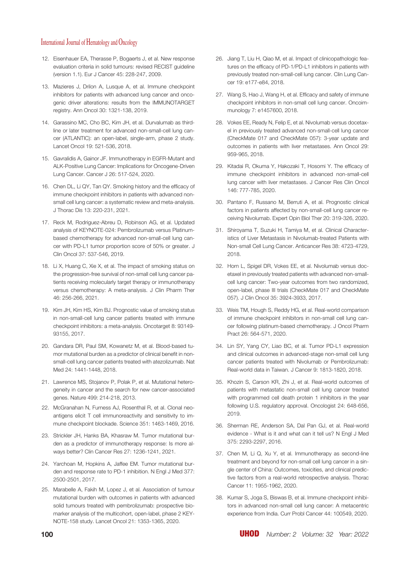- 12. Eisenhauer EA, Therasse P, Bogaerts J, et al. New response evaluation criteria in solid tumours: revised RECIST guideline (version 1.1). Eur J Cancer 45: 228-247, 2009.
- 13. Mazieres J, Drilon A, Lusque A, et al. Immune checkpoint inhibitors for patients with advanced lung cancer and oncogenic driver alterations: results from the IMMUNOTARGET registry. Ann Oncol 30: 1321-138, 2019.
- 14. Garassino MC, Cho BC, Kim JH, et al. Durvalumab as thirdline or later treatment for advanced non-small-cell lung cancer (ATLANTIC): an open-label, single-arm, phase 2 study. Lancet Oncol 19: 521-536, 2018.
- 15. Gavralidis A, Gainor JF. Immunotherapy in EGFR-Mutant and ALK-Positive Lung Cancer: Implications for Oncogene-Driven Lung Cancer. Cancer J 26: 517-524, 2020.
- 16. Chen DL, Li QY, Tan QY. Smoking history and the efficacy of immune checkpoint inhibitors in patients with advanced nonsmall cell lung cancer: a systematic review and meta-analysis. J Thorac Dis 13: 220-231, 2021.
- 17. Reck M, Rodriguez-Abreu D, Robinson AG, et al. Updated analysis of KEYNOTE-024: Pembrolizumab versus Platinumbased chemotherapy for advanced non-small-cell lung cancer with PD-L1 tumor proportion score of 50% or greater. J Clin Oncol 37: 537-546, 2019.
- 18. Li X, Huang C, Xie X, et al. The impact of smoking status on the progression-free survival of non-small cell lung cancer patients receiving molecularly target therapy or immunotherapy versus chemotherapy: A meta-analysis. J Clin Pharm Ther 46: 256-266, 2021.
- 19. Kim JH, Kim HS, Kim BJ. Prognostic value of smoking status in non-small-cell lung cancer patients treated with immune checkpoint inhibitors: a meta-analysis. Oncotarget 8: 93149- 93155, 2017.
- 20. Gandara DR, Paul SM, Kowanetz M, et al. Blood-based tumor mutational burden as a predictor of clinical benefit in nonsmall-cell lung cancer patients treated with atezolizumab. Nat Med 24: 1441-1448, 2018.
- 21. Lawrence MS, Stojanov P, Polak P, et al. Mutational heterogeneity in cancer and the search for new cancer-associated genes. Nature 499: 214-218, 2013.
- 22. McGranahan N, Furness AJ, Rosenthal R, et al. Clonal neoantigens elicit T cell immunoreactivity and sensitivity to immune checkpoint blockade. Science 351: 1463-1469, 2016.
- 23. Strickler JH, Hanks BA, Khasraw M. Tumor mutational burden as a predictor of immunotherapy response: Is more always better? Clin Cancer Res 27: 1236-1241, 2021.
- 24. Yarchoan M, Hopkins A, Jaffee EM. Tumor mutational burden and response rate to PD-1 inhibition. N Engl J Med 377: 2500-2501, 2017.
- 25. Marabelle A, Fakih M, Lopez J, et al. Association of tumour mutational burden with outcomes in patients with advanced solid tumours treated with pembrolizumab: prospective biomarker analysis of the multicohort, open-label, phase 2 KEY-NOTE-158 study. Lancet Oncol 21: 1353-1365, 2020.
- 26. Jiang T, Liu H, Qiao M, et al. Impact of clinicopathologic features on the efficacy of PD-1/PD-L1 inhibitors in patients with previously treated non-small-cell lung cancer. Clin Lung Cancer 19: e177-e84, 2018.
- 27. Wang S, Hao J, Wang H, et al. Efficacy and safety of immune checkpoint inhibitors in non-small cell lung cancer. Oncoimmunology 7: e1457600, 2018.
- 28. Vokes EE, Ready N, Felip E, et al. Nivolumab versus docetaxel in previously treated advanced non-small-cell lung cancer (CheckMate 017 and CheckMate 057): 3-year update and outcomes in patients with liver metastases. Ann Oncol 29: 959-965, 2018.
- 29. Kitadai R, Okuma Y, Hakozaki T, Hosomi Y. The efficacy of immune checkpoint inhibitors in advanced non-small-cell lung cancer with liver metastases. J Cancer Res Clin Oncol 146: 777-785, 2020.
- 30. Pantano F, Russano M, Berruti A, et al. Prognostic clinical factors in patients affected by non-small-cell lung cancer receiving Nivolumab. Expert Opin Biol Ther 20: 319-326, 2020.
- 31. Shiroyama T, Suzuki H, Tamiya M, et al. Clinical Characteristics of Liver Metastasis in Nivolumab-treated Patients with Non-small Cell Lung Cancer. Anticancer Res 38: 4723-4729, 2018.
- 32. Horn L, Spigel DR, Vokes EE, et al. Nivolumab versus docetaxel in previously treated patients with advanced non-smallcell lung cancer: Two-year outcomes from two randomized, open-label, phase III trials (CheckMate 017 and CheckMate 057). J Clin Oncol 35: 3924-3933, 2017.
- 33. Weis TM, Hough S, Reddy HG, et al. Real-world comparison of immune checkpoint inhibitors in non-small cell lung cancer following platinum-based chemotherapy. J Oncol Pharm Pract 26: 564-571, 2020.
- 34. Lin SY, Yang CY, Liao BC, et al. Tumor PD-L1 expression and clinical outcomes in advanced-stage non-small cell lung cancer patients treated with Nivolumab or Pembrolizumab: Real-world data in Taiwan. J Cancer 9: 1813-1820, 2018.
- 35. Khozin S, Carson KR, Zhi J, et al. Real-world outcomes of patients with metastatic non-small cell lung cancer treated with programmed cell death protein 1 inhibitors in the year following U.S. regulatory approval. Oncologist 24: 648-656, 2019.
- 36. Sherman RE, Anderson SA, Dal Pan GJ, et al. Real-world evidence - What is it and what can it tell us? N Engl J Med 375: 2293-2297, 2016.
- 37. Chen M, Li Q, Xu Y, et al. Immunotherapy as second-line treatment and beyond for non-small cell lung cancer in a single center of China: Outcomes, toxicities, and clinical predictive factors from a real-world retrospective analysis. Thorac Cancer 11: 1955-1962, 2020.
- 38. Kumar S, Joga S, Biswas B, et al. Immune checkpoint inhibitors in advanced non-small cell lung cancer: A metacentric experience from India. Curr Probl Cancer 44: 100549, 2020.